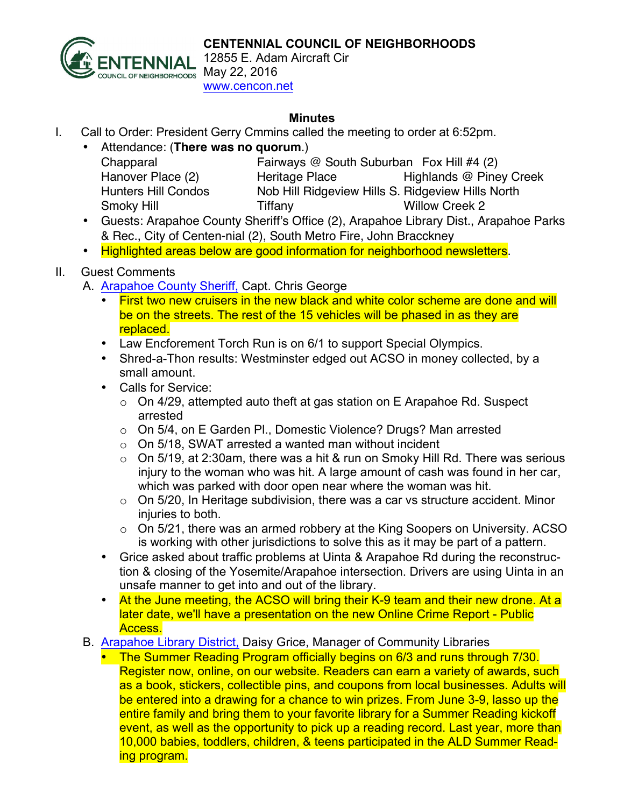

12855 E. Adam Aircraft Cir www.cencon.net

## **Minutes**

- I. Call to Order: President Gerry Cmmins called the meeting to order at 6:52pm.
	- Attendance: (**There was no quorum**.)

| Chapparal                  | Fairways @ South Suburban Fox Hill #4 (2) |                                                   |  |
|----------------------------|-------------------------------------------|---------------------------------------------------|--|
| Hanover Place (2)          | Heritage Place                            | Highlands @ Piney Creek                           |  |
| <b>Hunters Hill Condos</b> |                                           | Nob Hill Ridgeview Hills S. Ridgeview Hills North |  |
| Smoky Hill                 | Tiffany                                   | <b>Willow Creek 2</b>                             |  |
|                            |                                           |                                                   |  |

- Guests: Arapahoe County Sheriff's Office (2), Arapahoe Library Dist., Arapahoe Parks & Rec., City of Centen-nial (2), South Metro Fire, John Bracckney
- Highlighted areas below are good information for neighborhood newsletters.

## II. Guest Comments

- A. Arapahoe County Sheriff, Capt. Chris George
	- First two new cruisers in the new black and white color scheme are done and will be on the streets. The rest of the 15 vehicles will be phased in as they are replaced.
	- Law Encforement Torch Run is on 6/1 to support Special Olympics.
	- Shred-a-Thon results: Westminster edged out ACSO in money collected, by a small amount.
	- Calls for Service:
		- o On 4/29, attempted auto theft at gas station on E Arapahoe Rd. Suspect arrested
		- o On 5/4, on E Garden Pl., Domestic Violence? Drugs? Man arrested
		- $\circ$  On 5/18, SWAT arrested a wanted man without incident
		- $\circ$  On 5/19, at 2:30am, there was a hit & run on Smoky Hill Rd. There was serious injury to the woman who was hit. A large amount of cash was found in her car, which was parked with door open near where the woman was hit.
		- $\circ$  On 5/20, In Heritage subdivision, there was a car vs structure accident. Minor injuries to both.
		- $\circ$  On 5/21, there was an armed robbery at the King Soopers on University. ACSO is working with other jurisdictions to solve this as it may be part of a pattern.
	- Grice asked about traffic problems at Uinta & Arapahoe Rd during the reconstruction & closing of the Yosemite/Arapahoe intersection. Drivers are using Uinta in an unsafe manner to get into and out of the library.
	- At the June meeting, the ACSO will bring their K-9 team and their new drone. At a later date, we'll have a presentation on the new Online Crime Report - Public Access.
- B. Arapahoe Library District, Daisy Grice, Manager of Community Libraries
	- The Summer Reading Program officially begins on 6/3 and runs through 7/30. Register now, online, on our website. Readers can earn a variety of awards, such as a book, stickers, collectible pins, and coupons from local businesses. Adults will be entered into a drawing for a chance to win prizes. From June 3-9, lasso up the entire family and bring them to your favorite library for a Summer Reading kickoff event, as well as the opportunity to pick up a reading record. Last year, more than 10,000 babies, toddlers, children, & teens participated in the ALD Summer Reading program.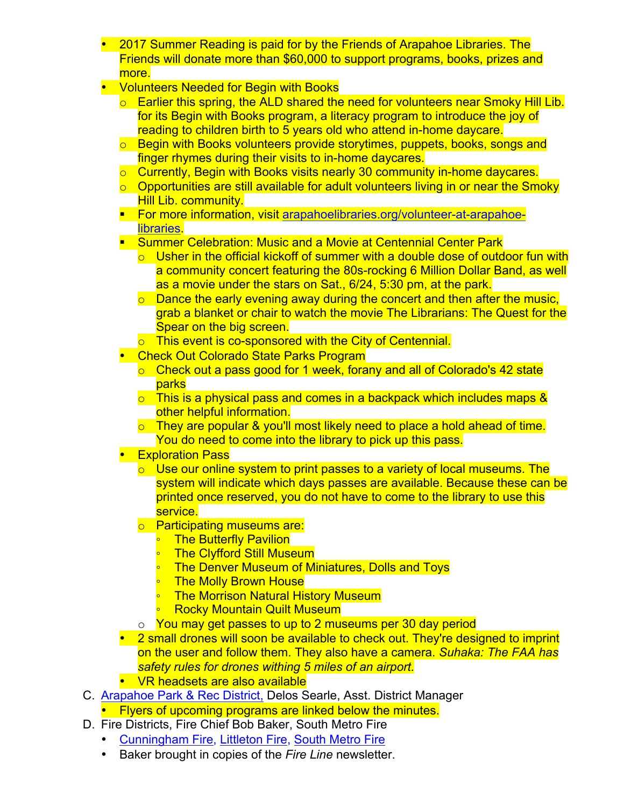- 2017 Summer Reading is paid for by the Friends of Arapahoe Libraries. The Friends will donate more than \$60,000 to support programs, books, prizes and more.
- Volunteers Needed for Begin with Books
	- $\circ$  Earlier this spring, the ALD shared the need for volunteers near Smoky Hill Lib. for its Begin with Books program, a literacy program to introduce the joy of reading to children birth to 5 years old who attend in-home daycare.
	- o Begin with Books volunteers provide storytimes, puppets, books, songs and finger rhymes during their visits to in-home daycares.
	- o Currently, Begin with Books visits nearly 30 community in-home daycares.
	- $\circ$  Opportunities are still available for adult volunteers living in or near the Smoky Hill Lib. community.
	- For more information, visit arapahoelibraries.org/volunteer-at-arapahoe**libraries**
	- Summer Celebration: Music and a Movie at Centennial Center Park
		- $\circ$  Usher in the official kickoff of summer with a double dose of outdoor fun with a community concert featuring the 80s-rocking 6 Million Dollar Band, as well as a movie under the stars on Sat., 6/24, 5:30 pm, at the park.
		- $\circ$  Dance the early evening away during the concert and then after the music, grab a blanket or chair to watch the movie The Librarians: The Quest for the Spear on the big screen.
		- o This event is co-sponsored with the City of Centennial.
	- Check Out Colorado State Parks Program
		- o Check out a pass good for 1 week, forany and all of Colorado's 42 state parks
		- o This is a physical pass and comes in a backpack which includes maps & other helpful information.
		- o They are popular & you'll most likely need to place a hold ahead of time. You do need to come into the library to pick up this pass.
	- **Exploration Pass** 
		- $\circ$  Use our online system to print passes to a variety of local museums. The system will indicate which days passes are available. Because these can be printed once reserved, you do not have to come to the library to use this service.
		- o Participating museums are:
			- **The Butterfly Pavilion**
			- **The Clyfford Still Museum**
			- **The Denver Museum of Miniatures, Dolls and Toys**
			- **The Molly Brown House**
			- **The Morrison Natural History Museum**
			- **Rocky Mountain Quilt Museum**
		- o You may get passes to up to 2 museums per 30 day period
	- 2 small drones will soon be available to check out. They're designed to imprint on the user and follow them. They also have a camera. *Suhaka: The FAA has safety rules for drones withing 5 miles of an airport.*
	- VR headsets are also available
- C. Arapahoe Park & Rec District, Delos Searle, Asst. District Manager
	- Flyers of upcoming programs are linked below the minutes.
- D. Fire Districts, Fire Chief Bob Baker, South Metro Fire
	- Cunningham Fire, Littleton Fire, South Metro Fire
	- Baker brought in copies of the *Fire Line* newsletter.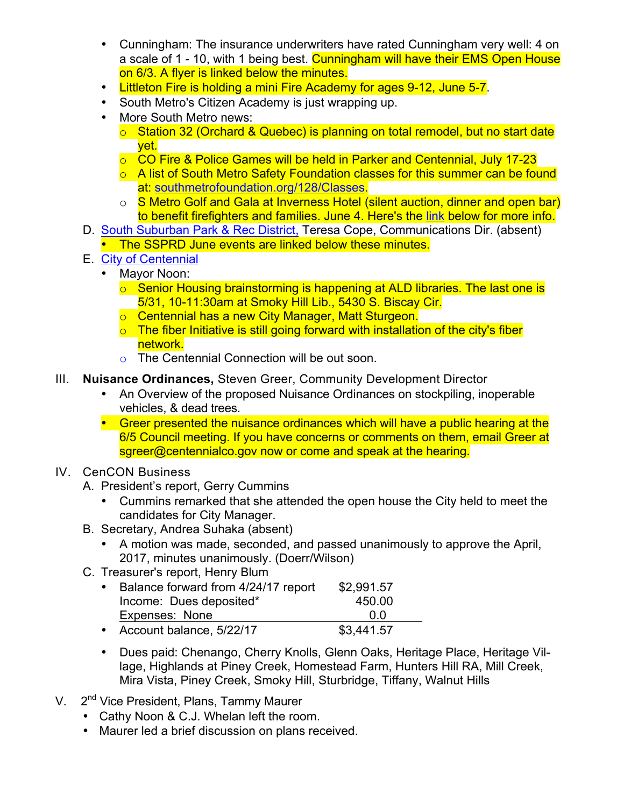- Cunningham: The insurance underwriters have rated Cunningham very well: 4 on a scale of 1 - 10, with 1 being best. Cunningham will have their EMS Open House on 6/3. A flyer is linked below the minutes.
- Littleton Fire is holding a mini Fire Academy for ages 9-12, June 5-7.
- South Metro's Citizen Academy is just wrapping up.
- More South Metro news:
	- o Station 32 (Orchard & Quebec) is planning on total remodel, but no start date yet.
	- o CO Fire & Police Games will be held in Parker and Centennial, July 17-23
	- o A list of South Metro Safety Foundation classes for this summer can be found at: southmetrofoundation.org/128/Classes.
	- o S Metro Golf and Gala at Inverness Hotel (silent auction, dinner and open bar) to benefit firefighters and families. June 4. Here's the link below for more info.
- D. South Suburban Park & Rec District, Teresa Cope, Communications Dir. (absent)
	- The SSPRD June events are linked below these minutes.
- E. City of Centennial
	- Mayor Noon:
		- o Senior Housing brainstorming is happening at ALD libraries. The last one is 5/31, 10-11:30am at Smoky Hill Lib., 5430 S. Biscay Cir.
		- o Centennial has a new City Manager, Matt Sturgeon.
		- o The fiber Initiative is still going forward with installation of the city's fiber network.
		- o The Centennial Connection will be out soon.
- III. **Nuisance Ordinances,** Steven Greer, Community Development Director
	- An Overview of the proposed Nuisance Ordinances on stockpiling, inoperable vehicles, & dead trees.
	- Greer presented the nuisance ordinances which will have a public hearing at the 6/5 Council meeting. If you have concerns or comments on them, email Greer at sgreer@centennialco.gov now or come and speak at the hearing.

## IV. CenCON Business

- A. President's report, Gerry Cummins
	- Cummins remarked that she attended the open house the City held to meet the candidates for City Manager.
- B. Secretary, Andrea Suhaka (absent)
	- A motion was made, seconded, and passed unanimously to approve the April, 2017, minutes unanimously. (Doerr/Wilson)
- C. Treasurer's report, Henry Blum

| $\bullet$ | Balance forward from 4/24/17 report | \$2,991.57 |  |
|-----------|-------------------------------------|------------|--|
|           | Income: Dues deposited*             | 450.00     |  |
|           | Expenses: None                      | n n        |  |
|           | • Account balance, 5/22/17          | \$3,441.57 |  |

- Dues paid: Chenango, Cherry Knolls, Glenn Oaks, Heritage Place, Heritage Village, Highlands at Piney Creek, Homestead Farm, Hunters Hill RA, Mill Creek, Mira Vista, Piney Creek, Smoky Hill, Sturbridge, Tiffany, Walnut Hills
- V. 2<sup>nd</sup> Vice President, Plans, Tammy Maurer
	- Cathy Noon & C.J. Whelan left the room.
	- Maurer led a brief discussion on plans received.